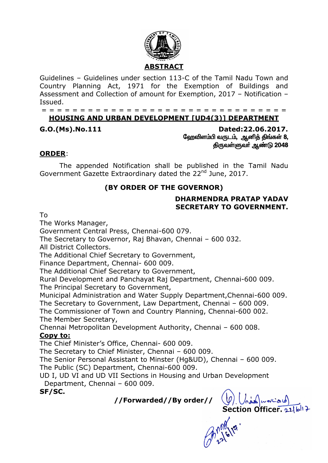

Guidelines – Guidelines under section 113-C of the Tamil Nadu Town and Country Planning Act, 1971 for the Exemption of Buildings and Assessment and Collection of amount for Exemption, 2017 – Notification – Issued.

# = = = = = = = = = = = = = = = = = = = = = = = = = = = = = = = =

# **HOUSING AND URBAN DEVELOPMENT [UD4(3)] DEPARTMENT**

**G.O.(Ms).No.111 Dated:22.06.2017.** ஹேவிளம்பி வருடம், ஆனித் திங்கள் 8, திருவள்ளுவர் ஆண்டு 2048

## **ORDER**:

The appended Notification shall be published in the Tamil Nadu Government Gazette Extraordinary dated the 22<sup>nd</sup> June, 2017.

# **(BY ORDER OF THE GOVERNOR)**

#### **DHARMENDRA PRATAP YADAV SECRETARY TO GOVERNMENT.**

To

The Works Manager,

Government Central Press, Chennai-600 079.

The Secretary to Governor, Raj Bhavan, Chennai – 600 032.

All District Collectors.

The Additional Chief Secretary to Government,

Finance Department, Chennai- 600 009.

The Additional Chief Secretary to Government,

Rural Development and Panchayat Raj Department, Chennai-600 009. The Principal Secretary to Government,

Municipal Administration and Water Supply Department,Chennai-600 009.

The Secretary to Government, Law Department, Chennai – 600 009.

The Commissioner of Town and Country Planning, Chennai-600 002. The Member Secretary,

Chennai Metropolitan Development Authority, Chennai – 600 008. **Copy to:**

The Chief Minister's Office, Chennai- 600 009.

The Secretary to Chief Minister, Chennai – 600 009.

The Senior Personal Assistant to Minster (Hg&UD), Chennai – 600 009.

The Public (SC) Department, Chennai-600 009.

UD I, UD VI and UD VII Sections in Housing and Urban Development Department, Chennai – 600 009.

**SF/SC.**

**//Forwarded//By order//**

 $(\mathcal{Y})$  ( $\bigwedge_{n=1}^{\infty}$  www.and)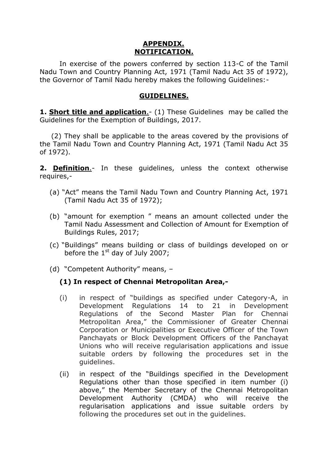#### **APPENDIX. NOTIFICATION.**

In exercise of the powers conferred by section 113-C of the Tamil Nadu Town and Country Planning Act, 1971 (Tamil Nadu Act 35 of 1972), the Governor of Tamil Nadu hereby makes the following Guidelines:-

#### **GUIDELINES.**

**1. Short title and application**.- (1) These Guidelines may be called the Guidelines for the Exemption of Buildings, 2017.

 (2) They shall be applicable to the areas covered by the provisions of the Tamil Nadu Town and Country Planning Act, 1971 (Tamil Nadu Act 35 of 1972).

**2. Definition.**- In these guidelines, unless the context otherwise requires,-

- (a) "Act" means the Tamil Nadu Town and Country Planning Act, 1971 (Tamil Nadu Act 35 of 1972);
- (b) "amount for exemption " means an amount collected under the Tamil Nadu Assessment and Collection of Amount for Exemption of Buildings Rules, 2017;
- (c) "Buildings" means building or class of buildings developed on or before the  $1<sup>st</sup>$  day of July 2007;
- (d) "Competent Authority" means, –

## **(1) In respect of Chennai Metropolitan Area,-**

- (i) in respect of "buildings as specified under Category-A, in Development Regulations 14 to 21 in Development Regulations of the Second Master Plan for Chennai Metropolitan Area," the Commissioner of Greater Chennai Corporation or Municipalities or Executive Officer of the Town Panchayats or Block Development Officers of the Panchayat Unions who will receive regularisation applications and issue suitable orders by following the procedures set in the guidelines.
- (ii) in respect of the "Buildings specified in the Development Regulations other than those specified in item number (i) above," the Member Secretary of the Chennai Metropolitan Development Authority (CMDA) who will receive the regularisation applications and issue suitable orders by following the procedures set out in the guidelines.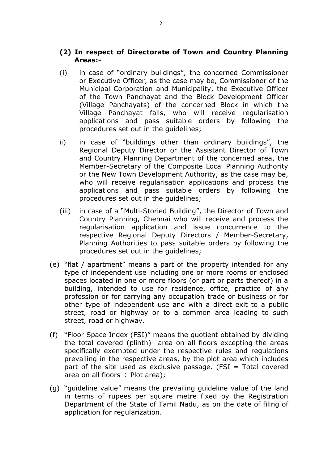#### **(2) In respect of Directorate of Town and Country Planning Areas:-**

- (i) in case of "ordinary buildings", the concerned Commissioner or Executive Officer, as the case may be, Commissioner of the Municipal Corporation and Municipality, the Executive Officer of the Town Panchayat and the Block Development Officer (Village Panchayats) of the concerned Block in which the Village Panchayat falls, who will receive regularisation applications and pass suitable orders by following the procedures set out in the guidelines;
- ii) in case of "buildings other than ordinary buildings", the Regional Deputy Director or the Assistant Director of Town and Country Planning Department of the concerned area, the Member-Secretary of the Composite Local Planning Authority or the New Town Development Authority, as the case may be, who will receive regularisation applications and process the applications and pass suitable orders by following the procedures set out in the guidelines;
- (iii) in case of a "Multi-Storied Building", the Director of Town and Country Planning, Chennai who will receive and process the regularisation application and issue concurrence to the respective Regional Deputy Directors / Member-Secretary, Planning Authorities to pass suitable orders by following the procedures set out in the guidelines;
- (e) "flat / apartment" means a part of the property intended for any type of independent use including one or more rooms or enclosed spaces located in one or more floors (or part or parts thereof) in a building, intended to use for residence, office, practice of any profession or for carrying any occupation trade or business or for other type of independent use and with a direct exit to a public street, road or highway or to a common area leading to such street, road or highway.
- (f) "Floor Space Index (FSI)" means the quotient obtained by dividing the total covered (plinth) area on all floors excepting the areas specifically exempted under the respective rules and regulations prevailing in the respective areas, by the plot area which includes part of the site used as exclusive passage. (FSI  $=$  Total covered area on all floors  $\div$  Plot area);
- (g) "guideline value" means the prevailing guideline value of the land in terms of rupees per square metre fixed by the Registration Department of the State of Tamil Nadu, as on the date of filing of application for regularization.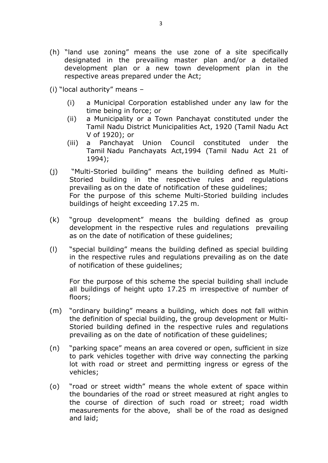- (h) "land use zoning" means the use zone of a site specifically designated in the prevailing master plan and/or a detailed development plan or a new town development plan in the respective areas prepared under the Act;
- (i) "local authority" means
	- (i) a Municipal Corporation established under any law for the time being in force; or
	- (ii) a Municipality or a Town Panchayat constituted under the Tamil Nadu District Municipalities Act, 1920 (Tamil Nadu Act V of 1920); or
	- (iii) a Panchayat Union Council constituted under the Tamil Nadu Panchayats Act,1994 (Tamil Nadu Act 21 of 1994);
- (j) "Multi-Storied building" means the building defined as Multi-Storied building in the respective rules and regulations prevailing as on the date of notification of these guidelines; For the purpose of this scheme Multi-Storied building includes buildings of height exceeding 17.25 m.
- (k) "group development" means the building defined as group development in the respective rules and regulations prevailing as on the date of notification of these guidelines;
- (l) "special building" means the building defined as special building in the respective rules and regulations prevailing as on the date of notification of these guidelines;

For the purpose of this scheme the special building shall include all buildings of height upto 17.25 m irrespective of number of floors;

- (m) "ordinary building" means a building, which does not fall within the definition of special building, the group development or Multi-Storied building defined in the respective rules and regulations prevailing as on the date of notification of these guidelines;
- (n) "parking space" means an area covered or open, sufficient in size to park vehicles together with drive way connecting the parking lot with road or street and permitting ingress or egress of the vehicles;
- (o) "road or street width" means the whole extent of space within the boundaries of the road or street measured at right angles to the course of direction of such road or street; road width measurements for the above, shall be of the road as designed and laid;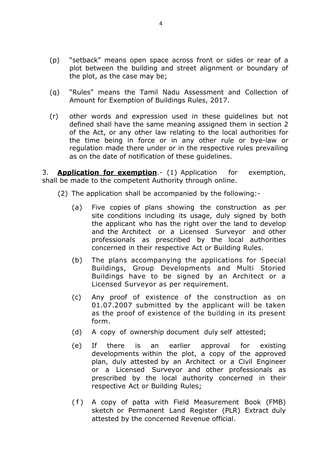- (p) "setback" means open space across front or sides or rear of a plot between the building and street alignment or boundary of the plot, as the case may be;
- (q) "Rules" means the Tamil Nadu Assessment and Collection of Amount for Exemption of Buildings Rules, 2017.
- (r) other words and expression used in these guidelines but not defined shall have the same meaning assigned them in section 2 of the Act, or any other law relating to the local authorities for the time being in force or in any other rule or bye-law or regulation made there under or in the respective rules prevailing as on the date of notification of these guidelines.

3. **Application for exemption**.- (1) Application for exemption, shall be made to the competent Authority through online.

- (2) The application shall be accompanied by the following:-
	- (a) Five copies of plans showing the construction as per site conditions including its usage, duly signed by both the applicant who has the right over the land to develop and the Architect or a Licensed Surveyor and other professionals as prescribed by the local authorities concerned in their respective Act or Building Rules.
	- (b) The plans accompanying the applications for Special Buildings, Group Developments and Multi Storied Buildings have to be signed by an Architect or a Licensed Surveyor as per requirement.
	- (c) Any proof of existence of the construction as on 01.07.2007 submitted by the applicant will be taken as the proof of existence of the building in its present form.
	- (d) A copy of ownership document duly self attested;
	- (e) If there is an earlier approval for existing developments within the plot, a copy of the approved plan, duly attested by an Architect or a Civil Engineer or a Licensed Surveyor and other professionals as prescribed by the local authority concerned in their respective Act or Building Rules;
	- ( f ) A copy of patta with Field Measurement Book (FMB) sketch or Permanent Land Register (PLR) Extract duly attested by the concerned Revenue official.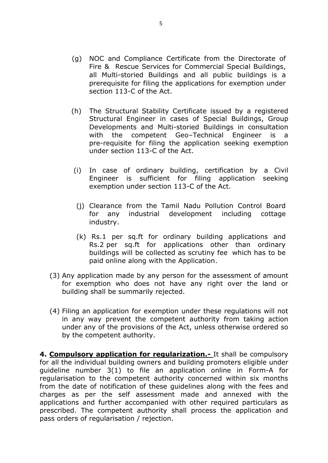- (g) NOC and Compliance Certificate from the Directorate of Fire & Rescue Services for Commercial Special Buildings, all Multi-storied Buildings and all public buildings is a prerequisite for filing the applications for exemption under section 113-C of the Act.
- (h) The Structural Stability Certificate issued by a registered Structural Engineer in cases of Special Buildings, Group Developments and Multi-storied Buildings in consultation with the competent Geo–Technical Engineer is a pre-requisite for filing the application seeking exemption under section 113-C of the Act.
- (i) In case of ordinary building, certification by a Civil Engineer is sufficient for filing application seeking exemption under section 113-C of the Act.
- (j) Clearance from the Tamil Nadu Pollution Control Board for any industrial development including cottage industry.
- (k) Rs.1 per sq.ft for ordinary building applications and Rs.2 per sq.ft for applications other than ordinary buildings will be collected as scrutiny fee which has to be paid online along with the Application.
- (3) Any application made by any person for the assessment of amount for exemption who does not have any right over the land or building shall be summarily rejected.
- (4) Filing an application for exemption under these regulations will not in any way prevent the competent authority from taking action under any of the provisions of the Act, unless otherwise ordered so by the competent authority.

**4. Compulsory application for regularization.-** It shall be compulsory for all the individual building owners and building promoters eligible under guideline number 3(1) to file an application online in Form-A for regularisation to the competent authority concerned within six months from the date of notification of these guidelines along with the fees and charges as per the self assessment made and annexed with the applications and further accompanied with other required particulars as prescribed. The competent authority shall process the application and pass orders of regularisation / rejection.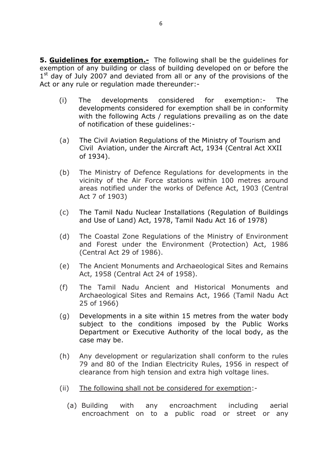**5. Guidelines for exemption.-** The following shall be the guidelines for exemption of any building or class of building developed on or before the 1<sup>st</sup> day of July 2007 and deviated from all or any of the provisions of the Act or any rule or regulation made thereunder:-

- (i) The developments considered for exemption:- The developments considered for exemption shall be in conformity with the following Acts / regulations prevailing as on the date of notification of these guidelines:-
- (a) The Civil Aviation Regulations of the Ministry of Tourism and Civil Aviation, under the Aircraft Act, 1934 (Central Act XXII of 1934).
- (b) The Ministry of Defence Regulations for developments in the vicinity of the Air Force stations within 100 metres around areas notified under the works of Defence Act, 1903 (Central Act 7 of 1903)
- (c) The Tamil Nadu Nuclear Installations (Regulation of Buildings and Use of Land) Act, 1978, Tamil Nadu Act 16 of 1978)
- (d) The Coastal Zone Regulations of the Ministry of Environment and Forest under the Environment (Protection) Act, 1986 (Central Act 29 of 1986).
- (e) The Ancient Monuments and Archaeological Sites and Remains Act, 1958 (Central Act 24 of 1958).
- (f) The Tamil Nadu Ancient and Historical Monuments and Archaeological Sites and Remains Act, 1966 (Tamil Nadu Act 25 of 1966)
- (g) Developments in a site within 15 metres from the water body subject to the conditions imposed by the Public Works Department or Executive Authority of the local body, as the case may be.
- (h) Any development or regularization shall conform to the rules 79 and 80 of the Indian Electricity Rules, 1956 in respect of clearance from high tension and extra high voltage lines.
- (ii) The following shall not be considered for exemption:-
	- (a) Building with any encroachment including aerial encroachment on to a public road or street or any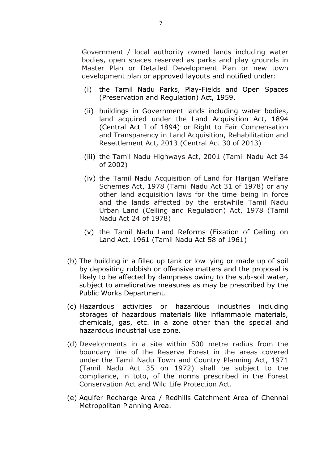Government / local authority owned lands including water bodies, open spaces reserved as parks and play grounds in Master Plan or Detailed Development Plan or new town development plan or approved layouts and notified under:

- (i) the Tamil Nadu Parks, Play-Fields and Open Spaces (Preservation and Regulation) Act, 1959,
- (ii) buildings in Government lands including water bodies, land acquired under the Land Acquisition Act, 1894 (Central Act I of 1894) or Right to Fair Compensation and Transparency in Land Acquisition, Rehabilitation and Resettlement Act, 2013 (Central Act 30 of 2013)
- (iii) the Tamil Nadu Highways Act, 2001 (Tamil Nadu Act 34 of 2002)
- (iv) the Tamil Nadu Acquisition of Land for Harijan Welfare Schemes Act, 1978 (Tamil Nadu Act 31 of 1978) or any other land acquisition laws for the time being in force and the lands affected by the erstwhile Tamil Nadu Urban Land (Ceiling and Regulation) Act, 1978 (Tamil Nadu Act 24 of 1978)
- (v) the Tamil Nadu Land Reforms (Fixation of Ceiling on Land Act, 1961 (Tamil Nadu Act 58 of 1961)
- (b) The building in a filled up tank or low lying or made up of soil by depositing rubbish or offensive matters and the proposal is likely to be affected by dampness owing to the sub-soil water, subject to ameliorative measures as may be prescribed by the Public Works Department.
- (c) Hazardous activities or hazardous industries including storages of hazardous materials like inflammable materials, chemicals, gas, etc. in a zone other than the special and hazardous industrial use zone.
- (d) Developments in a site within 500 metre radius from the boundary line of the Reserve Forest in the areas covered under the Tamil Nadu Town and Country Planning Act, 1971 (Tamil Nadu Act 35 on 1972) shall be subject to the compliance, in toto, of the norms prescribed in the Forest Conservation Act and Wild Life Protection Act.
- (e) Aquifer Recharge Area / Redhills Catchment Area of Chennai Metropolitan Planning Area.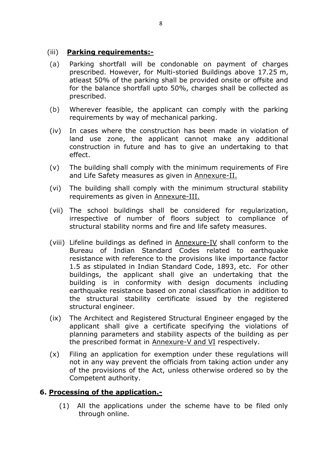## (iii) **Parking requirements:-**

- (a) Parking shortfall will be condonable on payment of charges prescribed. However, for Multi-storied Buildings above 17.25 m, atleast 50% of the parking shall be provided onsite or offsite and for the balance shortfall upto 50%, charges shall be collected as prescribed.
- (b) Wherever feasible, the applicant can comply with the parking requirements by way of mechanical parking.
- (iv) In cases where the construction has been made in violation of land use zone, the applicant cannot make any additional construction in future and has to give an undertaking to that effect.
- (v) The building shall comply with the minimum requirements of Fire and Life Safety measures as given in Annexure-II.
- (vi) The building shall comply with the minimum structural stability requirements as given in Annexure-III.
- (vii) The school buildings shall be considered for regularization, irrespective of number of floors subject to compliance of structural stability norms and fire and life safety measures.
- (viii) Lifeline buildings as defined in Annexure-IV shall conform to the Bureau of Indian Standard Codes related to earthquake resistance with reference to the provisions like importance factor 1.5 as stipulated in Indian Standard Code, 1893, etc. For other buildings, the applicant shall give an undertaking that the building is in conformity with design documents including earthquake resistance based on zonal classification in addition to the structural stability certificate issued by the registered structural engineer.
- (ix) The Architect and Registered Structural Engineer engaged by the applicant shall give a certificate specifying the violations of planning parameters and stability aspects of the building as per the prescribed format in Annexure-V and VI respectively.
- (x) Filing an application for exemption under these regulations will not in any way prevent the officials from taking action under any of the provisions of the Act, unless otherwise ordered so by the Competent authority.

## **6. Processing of the application.-**

(1) All the applications under the scheme have to be filed only through online.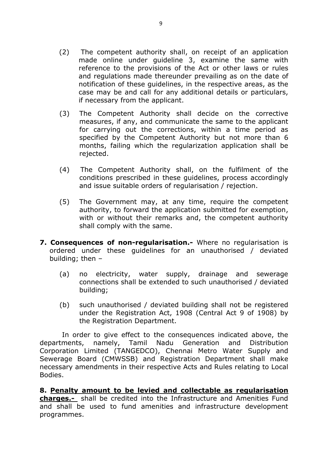- (2) The competent authority shall, on receipt of an application made online under guideline 3, examine the same with reference to the provisions of the Act or other laws or rules and regulations made thereunder prevailing as on the date of notification of these guidelines, in the respective areas, as the case may be and call for any additional details or particulars, if necessary from the applicant.
- (3) The Competent Authority shall decide on the corrective measures, if any, and communicate the same to the applicant for carrying out the corrections, within a time period as specified by the Competent Authority but not more than 6 months, failing which the regularization application shall be rejected.
- (4) The Competent Authority shall, on the fulfilment of the conditions prescribed in these guidelines, process accordingly and issue suitable orders of regularisation / rejection.
- (5) The Government may, at any time, require the competent authority, to forward the application submitted for exemption, with or without their remarks and, the competent authority shall comply with the same.
- **7. Consequences of non-regularisation.-** Where no regularisation is ordered under these guidelines for an unauthorised / deviated building; then –
	- (a) no electricity, water supply, drainage and sewerage connections shall be extended to such unauthorised / deviated building;
	- (b) such unauthorised / deviated building shall not be registered under the Registration Act, 1908 (Central Act 9 of 1908) by the Registration Department.

In order to give effect to the consequences indicated above, the departments, namely, Tamil Nadu Generation and Distribution Corporation Limited (TANGEDCO), Chennai Metro Water Supply and Sewerage Board (CMWSSB) and Registration Department shall make necessary amendments in their respective Acts and Rules relating to Local Bodies.

**8. Penalty amount to be levied and collectable as regularisation charges.-** shall be credited into the Infrastructure and Amenities Fund and shall be used to fund amenities and infrastructure development programmes.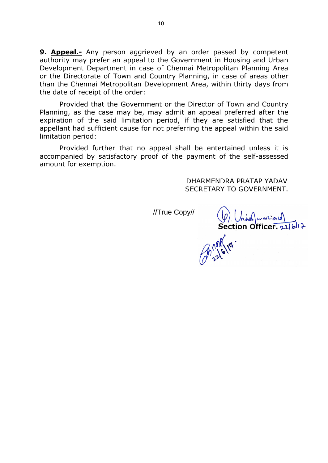**9. Appeal.-** Any person aggrieved by an order passed by competent authority may prefer an appeal to the Government in Housing and Urban Development Department in case of Chennai Metropolitan Planning Area or the Directorate of Town and Country Planning, in case of areas other than the Chennai Metropolitan Development Area, within thirty days from the date of receipt of the order:

Provided that the Government or the Director of Town and Country Planning, as the case may be, may admit an appeal preferred after the expiration of the said limitation period, if they are satisfied that the appellant had sufficient cause for not preferring the appeal within the said limitation period:

Provided further that no appeal shall be entertained unless it is accompanied by satisfactory proof of the payment of the self-assessed amount for exemption.

> DHARMENDRA PRATAP YADAV SECRETARY TO GOVERNMENT.

 $(\varphi)$   $(\wedge \omega)$ wwcad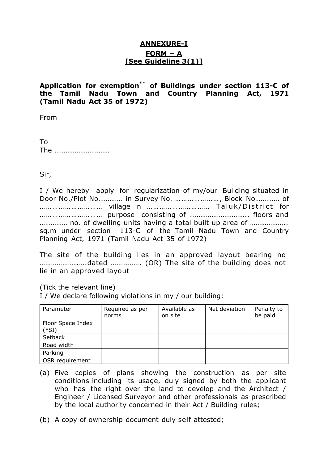# **ANNEXURE-I FORM – A [See Guideline 3(1)]**

## **Application for exemption \*\* of Buildings under section 113-C of the Tamil Nadu Town and Country Planning Act, 1971 (Tamil Nadu Act 35 of 1972)**

From

To The …………………………

Sir,

I / We hereby apply for regularization of my/our Building situated in Door No./Plot No…………. in Survey No. … … …………… , Block No…………. of ………………………… village in …………………………… Taluk/District for ………………………… purpose consisting of ………………………….. floors and …………… no. of dwelling units having a total built up area of ……………….. sq.m under section 113-C of the Tamil Nadu Town and Country Planning Act, 1971 (Tamil Nadu Act 35 of 1972)

The site of the building lies in an approved layout bearing no ………………..….dated ……………. (OR) The site of the building does not lie in an approved layout

(Tick the relevant line)

I / We declare following violations in my / our building:

| Parameter                  | Required as per<br>norms | Available as<br>on site | Net deviation | Penalty to<br>be paid |
|----------------------------|--------------------------|-------------------------|---------------|-----------------------|
| Floor Space Index<br>(FSI) |                          |                         |               |                       |
| Setback                    |                          |                         |               |                       |
| Road width                 |                          |                         |               |                       |
| Parking                    |                          |                         |               |                       |
| OSR requirement            |                          |                         |               |                       |

- (a) Five copies of plans showing the construction as per site conditions including its usage, duly signed by both the applicant who has the right over the land to develop and the Architect / Engineer / Licensed Surveyor and other professionals as prescribed by the local authority concerned in their Act / Building rules;
- (b) A copy of ownership document duly self attested;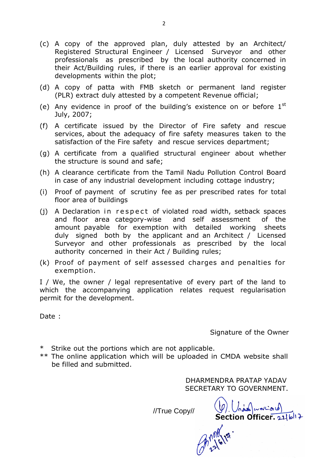- (c) A copy of the approved plan, duly attested by an Architect/ Registered Structural Engineer / Licensed Surveyor and other professionals as prescribed by the local authority concerned in their Act/Building rules, if there is an earlier approval for existing developments within the plot;
- (d) A copy of patta with FMB sketch or permanent land register (PLR) extract duly attested by a competent Revenue official;
- (e) Any evidence in proof of the building's existence on or before  $1<sup>st</sup>$ July, 2007;
- (f) A certificate issued by the Director of Fire safety and rescue services, about the adequacy of fire safety measures taken to the satisfaction of the Fire safety and rescue services department;
- (g) A certificate from a qualified structural engineer about whether the structure is sound and safe;
- (h) A clearance certificate from the Tamil Nadu Pollution Control Board in case of any industrial development including cottage industry;
- (i) Proof of payment of scrutiny fee as per prescribed rates for total floor area of buildings
- (i) A Declaration in respect of violated road width, setback spaces and floor area category-wise and self assessment of the amount payable for exemption with detailed working sheets duly signed both by the applicant and an Architect / Licensed Surveyor and other professionals as prescribed by the local authority concerned in their Act / Building rules;
- (k) Proof of payment of self assessed charges and penalties for exemption.

I / We, the owner / legal representative of every part of the land to which the accompanying application relates request regularisation permit for the development.

Date :

Signature of the Owner

- \* Strike out the portions which are not applicable.
- \*\* The online application which will be uploaded in CMDA website shall be filled and submitted.

DHARMENDRA PRATAP YADAV SECRETARY TO GOVERNMENT.

Section Officer. 216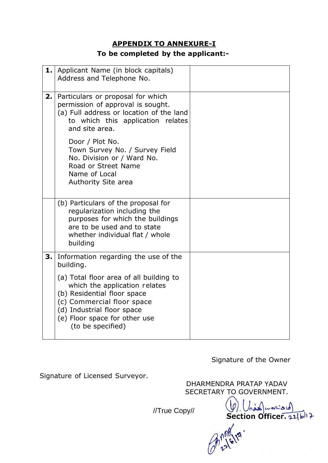# **APPENDIX TO ANNEXURE-I**

# **To be completed by the applicant:-**

| 1. | Applicant Name (in block capitals)<br>Address and Telephone No.                                                                                                                                                           |  |
|----|---------------------------------------------------------------------------------------------------------------------------------------------------------------------------------------------------------------------------|--|
| 2. | Particulars or proposal for which<br>permission of approval is sought.<br>(a) Full address or location of the land<br>to which this application relates<br>and site area.                                                 |  |
|    | Door / Plot No.<br>Town Survey No. / Survey Field<br>No. Division or / Ward No.<br>Road or Street Name<br>Name of Local<br>Authority Site area                                                                            |  |
|    | (b) Particulars of the proposal for<br>regularization including the<br>purposes for which the buildings<br>are to be used and to state<br>whether individual flat / whole<br>building                                     |  |
| 3. | Information regarding the use of the<br>building.                                                                                                                                                                         |  |
|    | (a) Total floor area of all building to<br>which the application relates<br>(b) Residential floor space<br>(c) Commercial floor space<br>(d) Industrial floor space<br>(e) Floor space for other use<br>(to be specified) |  |

Signature of the Owner

Signature of Licensed Surveyor.

DHARMENDRA PRATAP YADAV SECRETARY TO GOVERNMENT.

 $(g)$   $\left(\begin{array}{c} 0 \\ 0 \end{array}\right)$  waves of

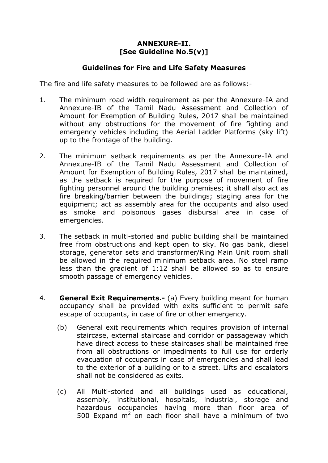## **ANNEXURE-II. [See Guideline No.5(v)]**

#### **Guidelines for Fire and Life Safety Measures**

The fire and life safety measures to be followed are as follows:-

- 1. The minimum road width requirement as per the Annexure-IA and Annexure-IB of the Tamil Nadu Assessment and Collection of Amount for Exemption of Building Rules, 2017 shall be maintained without any obstructions for the movement of fire fighting and emergency vehicles including the Aerial Ladder Platforms (sky lift) up to the frontage of the building.
- 2. The minimum setback requirements as per the Annexure-IA and Annexure-IB of the Tamil Nadu Assessment and Collection of Amount for Exemption of Building Rules, 2017 shall be maintained, as the setback is required for the purpose of movement of fire fighting personnel around the building premises; it shall also act as fire breaking/barrier between the buildings; staging area for the equipment; act as assembly area for the occupants and also used as smoke and poisonous gases disbursal area in case of emergencies.
- 3. The setback in multi-storied and public building shall be maintained free from obstructions and kept open to sky. No gas bank, diesel storage, generator sets and transformer/Ring Main Unit room shall be allowed in the required minimum setback area. No steel ramp less than the gradient of 1:12 shall be allowed so as to ensure smooth passage of emergency vehicles.
- 4. **General Exit Requirements.-** (a) Every building meant for human occupancy shall be provided with exits sufficient to permit safe escape of occupants, in case of fire or other emergency.
	- (b) General exit requirements which requires provision of internal staircase, external staircase and corridor or passageway which have direct access to these staircases shall be maintained free from all obstructions or impediments to full use for orderly evacuation of occupants in case of emergencies and shall lead to the exterior of a building or to a street. Lifts and escalators shall not be considered as exits.
	- (c) All Multi-storied and all buildings used as educational, assembly, institutional, hospitals, industrial, storage and hazardous occupancies having more than floor area of 500 Expand  $m^2$  on each floor shall have a minimum of two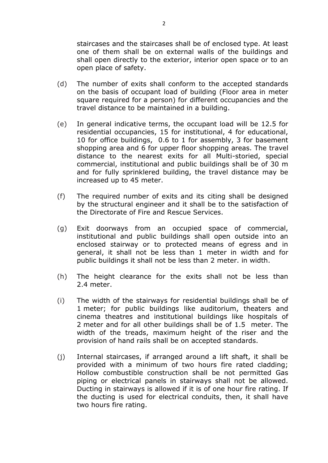staircases and the staircases shall be of enclosed type. At least one of them shall be on external walls of the buildings and shall open directly to the exterior, interior open space or to an open place of safety.

- (d) The number of exits shall conform to the accepted standards on the basis of occupant load of building (Floor area in meter square required for a person) for different occupancies and the travel distance to be maintained in a building.
- (e) In general indicative terms, the occupant load will be 12.5 for residential occupancies, 15 for institutional, 4 for educational, 10 for office buildings, 0.6 to 1 for assembly, 3 for basement shopping area and 6 for upper floor shopping areas. The travel distance to the nearest exits for all Multi-storied, special commercial, institutional and public buildings shall be of 30 m and for fully sprinklered building, the travel distance may be increased up to 45 meter.
- (f) The required number of exits and its citing shall be designed by the structural engineer and it shall be to the satisfaction of the Directorate of Fire and Rescue Services.
- (g) Exit doorways from an occupied space of commercial, institutional and public buildings shall open outside into an enclosed stairway or to protected means of egress and in general, it shall not be less than 1 meter in width and for public buildings it shall not be less than 2 meter. in width.
- (h) The height clearance for the exits shall not be less than 2.4 meter.
- (i) The width of the stairways for residential buildings shall be of 1 meter; for public buildings like auditorium, theaters and cinema theatres and institutional buildings like hospitals of 2 meter and for all other buildings shall be of 1.5 meter. The width of the treads, maximum height of the riser and the provision of hand rails shall be on accepted standards.
- (j) Internal staircases, if arranged around a lift shaft, it shall be provided with a minimum of two hours fire rated cladding; Hollow combustible construction shall be not permitted Gas piping or electrical panels in stairways shall not be allowed. Ducting in stairways is allowed if it is of one hour fire rating. If the ducting is used for electrical conduits, then, it shall have two hours fire rating.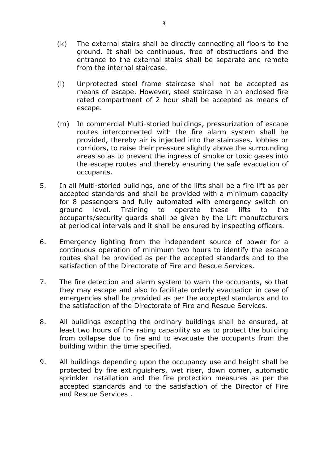- (k) The external stairs shall be directly connecting all floors to the ground. It shall be continuous, free of obstructions and the entrance to the external stairs shall be separate and remote from the internal staircase.
- (l) Unprotected steel frame staircase shall not be accepted as means of escape. However, steel staircase in an enclosed fire rated compartment of 2 hour shall be accepted as means of escape.
- (m) In commercial Multi-storied buildings, pressurization of escape routes interconnected with the fire alarm system shall be provided, thereby air is injected into the staircases, lobbies or corridors, to raise their pressure slightly above the surrounding areas so as to prevent the ingress of smoke or toxic gases into the escape routes and thereby ensuring the safe evacuation of occupants.
- 5. In all Multi-storied buildings, one of the lifts shall be a fire lift as per accepted standards and shall be provided with a minimum capacity for 8 passengers and fully automated with emergency switch on ground level. Training to operate these lifts to the occupants/security guards shall be given by the Lift manufacturers at periodical intervals and it shall be ensured by inspecting officers.
- 6. Emergency lighting from the independent source of power for a continuous operation of minimum two hours to identify the escape routes shall be provided as per the accepted standards and to the satisfaction of the Directorate of Fire and Rescue Services.
- 7. The fire detection and alarm system to warn the occupants, so that they may escape and also to facilitate orderly evacuation in case of emergencies shall be provided as per the accepted standards and to the satisfaction of the Directorate of Fire and Rescue Services.
- 8. All buildings excepting the ordinary buildings shall be ensured, at least two hours of fire rating capability so as to protect the building from collapse due to fire and to evacuate the occupants from the building within the time specified.
- 9. All buildings depending upon the occupancy use and height shall be protected by fire extinguishers, wet riser, down comer, automatic sprinkler installation and the fire protection measures as per the accepted standards and to the satisfaction of the Director of Fire and Rescue Services .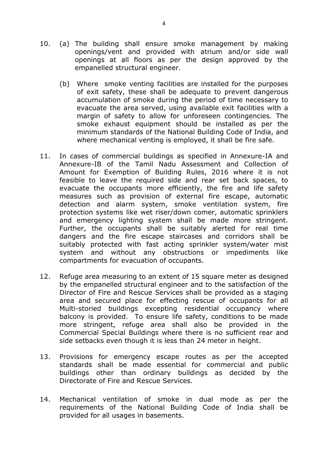- 10. (a) The building shall ensure smoke management by making openings/vent and provided with atrium and/or side wall openings at all floors as per the design approved by the empanelled structural engineer.
	- (b) Where smoke venting facilities are installed for the purposes of exit safety, these shall be adequate to prevent dangerous accumulation of smoke during the period of time necessary to evacuate the area served, using available exit facilities with a margin of safety to allow for unforeseen contingencies. The smoke exhaust equipment should be installed as per the minimum standards of the National Building Code of India, and where mechanical venting is employed, it shall be fire safe.
- 11. In cases of commercial buildings as specified in Annexure-IA and Annexure-IB of the Tamil Nadu Assessment and Collection of Amount for Exemption of Building Rules, 2016 where it is not feasible to leave the required side and rear set back spaces, to evacuate the occupants more efficiently, the fire and life safety measures such as provision of external fire escape, automatic detection and alarm system, smoke ventilation system, fire protection systems like wet riser/down comer, automatic sprinklers and emergency lighting system shall be made more stringent. Further, the occupants shall be suitably alerted for real time dangers and the fire escape staircases and corridors shall be suitably protected with fast acting sprinkler system/water mist system and without any obstructions or impediments like compartments for evacuation of occupants.
- 12. Refuge area measuring to an extent of 15 square meter as designed by the empanelled structural engineer and to the satisfaction of the Director of Fire and Rescue Services shall be provided as a staging area and secured place for effecting rescue of occupants for all Multi-storied buildings excepting residential occupancy where balcony is provided. To ensure life safety, conditions to be made more stringent, refuge area shall also be provided in the Commercial Special Buildings where there is no sufficient rear and side setbacks even though it is less than 24 meter in height.
- 13. Provisions for emergency escape routes as per the accepted standards shall be made essential for commercial and public buildings other than ordinary buildings as decided by the Directorate of Fire and Rescue Services.
- 14. Mechanical ventilation of smoke in dual mode as per the requirements of the National Building Code of India shall be provided for all usages in basements.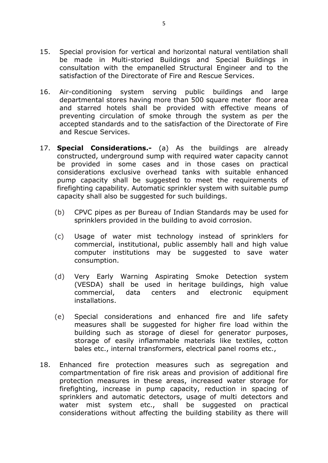- 15. Special provision for vertical and horizontal natural ventilation shall be made in Multi-storied Buildings and Special Buildings in consultation with the empanelled Structural Engineer and to the satisfaction of the Directorate of Fire and Rescue Services.
- 16. Air-conditioning system serving public buildings and large departmental stores having more than 500 square meter floor area and starred hotels shall be provided with effective means of preventing circulation of smoke through the system as per the accepted standards and to the satisfaction of the Directorate of Fire and Rescue Services.
- 17. **Special Considerations.-** (a) As the buildings are already constructed, underground sump with required water capacity cannot be provided in some cases and in those cases on practical considerations exclusive overhead tanks with suitable enhanced pump capacity shall be suggested to meet the requirements of firefighting capability. Automatic sprinkler system with suitable pump capacity shall also be suggested for such buildings.
	- (b) CPVC pipes as per Bureau of Indian Standards may be used for sprinklers provided in the building to avoid corrosion.
	- (c) Usage of water mist technology instead of sprinklers for commercial, institutional, public assembly hall and high value computer institutions may be suggested to save water consumption.
	- (d) Very Early Warning Aspirating Smoke Detection system (VESDA) shall be used in heritage buildings, high value commercial, data centers and electronic equipment installations.
	- (e) Special considerations and enhanced fire and life safety measures shall be suggested for higher fire load within the building such as storage of diesel for generator purposes, storage of easily inflammable materials like textiles, cotton bales etc., internal transformers, electrical panel rooms etc.,
- 18. Enhanced fire protection measures such as segregation and compartmentation of fire risk areas and provision of additional fire protection measures in these areas, increased water storage for firefighting, increase in pump capacity, reduction in spacing of sprinklers and automatic detectors, usage of multi detectors and water mist system etc., shall be suggested on practical considerations without affecting the building stability as there will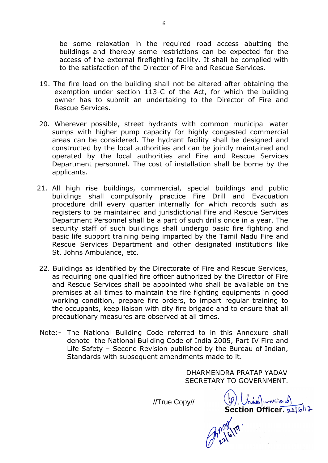be some relaxation in the required road access abutting the buildings and thereby some restrictions can be expected for the access of the external firefighting facility. It shall be complied with to the satisfaction of the Director of Fire and Rescue Services.

- 19. The fire load on the building shall not be altered after obtaining the exemption under section 113-C of the Act, for which the building owner has to submit an undertaking to the Director of Fire and Rescue Services.
- 20. Wherever possible, street hydrants with common municipal water sumps with higher pump capacity for highly congested commercial areas can be considered. The hydrant facility shall be designed and constructed by the local authorities and can be jointly maintained and operated by the local authorities and Fire and Rescue Services Department personnel. The cost of installation shall be borne by the applicants.
- 21. All high rise buildings, commercial, special buildings and public buildings shall compulsorily practice Fire Drill and Evacuation procedure drill every quarter internally for which records such as registers to be maintained and jurisdictional Fire and Rescue Services Department Personnel shall be a part of such drills once in a year. The security staff of such buildings shall undergo basic fire fighting and basic life support training being imparted by the Tamil Nadu Fire and Rescue Services Department and other designated institutions like St. Johns Ambulance, etc.
- 22. Buildings as identified by the Directorate of Fire and Rescue Services, as requiring one qualified fire officer authorized by the Director of Fire and Rescue Services shall be appointed who shall be available on the premises at all times to maintain the fire fighting equipments in good working condition, prepare fire orders, to impart regular training to the occupants, keep liaison with city fire brigade and to ensure that all precautionary measures are observed at all times.
- Note:- The National Building Code referred to in this Annexure shall denote the National Building Code of India 2005, Part IV Fire and Life Safety – Second Revision published by the Bureau of Indian, Standards with subsequent amendments made to it.

DHARMENDRA PRATAP YADAV SECRETARY TO GOVERNMENT.

 $(g)$   $\left(\begin{array}{c} \downarrow \\ \downarrow \end{array}\right)$   $\left(\begin{array}{c} \downarrow \\ \downarrow \end{array}\right)$  section Officer. 22/6/17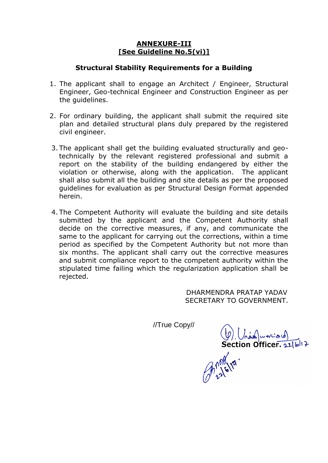## **ANNEXURE-III [See Guideline No.5(vi)]**

#### **Structural Stability Requirements for a Building**

- 1. The applicant shall to engage an Architect / Engineer, Structural Engineer, Geo-technical Engineer and Construction Engineer as per the quidelines.
- 2. For ordinary building, the applicant shall submit the required site plan and detailed structural plans duly prepared by the registered civil engineer.
- 3. The applicant shall get the building evaluated structurally and geotechnically by the relevant registered professional and submit a report on the stability of the building endangered by either the violation or otherwise, along with the application. The applicant shall also submit all the building and site details as per the proposed guidelines for evaluation as per Structural Design Format appended herein.
- 4. The Competent Authority will evaluate the building and site details submitted by the applicant and the Competent Authority shall decide on the corrective measures, if any, and communicate the same to the applicant for carrying out the corrections, within a time period as specified by the Competent Authority but not more than six months. The applicant shall carry out the corrective measures and submit compliance report to the competent authority within the stipulated time failing which the regularization application shall be rejected.

 DHARMENDRA PRATAP YADAV SECRETARY TO GOVERNMENT.

Section Officer, 21/6/17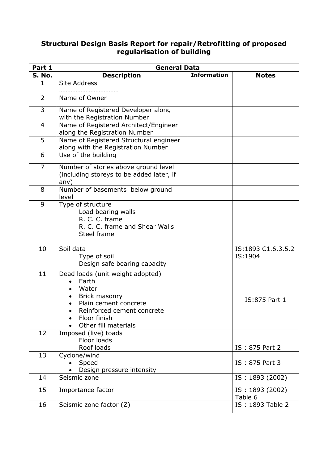## **Structural Design Basis Report for repair/Retrofitting of proposed regularisation of building**

| Part 1         | <b>General Data</b>                                                                                                                                                             |                    |                               |
|----------------|---------------------------------------------------------------------------------------------------------------------------------------------------------------------------------|--------------------|-------------------------------|
| <b>S. No.</b>  | <b>Description</b>                                                                                                                                                              | <b>Information</b> | <b>Notes</b>                  |
| $\mathbf{1}$   | <b>Site Address</b>                                                                                                                                                             |                    |                               |
| $\overline{2}$ | Name of Owner                                                                                                                                                                   |                    |                               |
| 3              | Name of Registered Developer along<br>with the Registration Number                                                                                                              |                    |                               |
| 4              | Name of Registered Architect/Engineer<br>along the Registration Number                                                                                                          |                    |                               |
| 5              | Name of Registered Structural engineer<br>along with the Registration Number                                                                                                    |                    |                               |
| 6              | Use of the building                                                                                                                                                             |                    |                               |
| $\overline{7}$ | Number of stories above ground level<br>(including storeys to be added later, if<br>any)                                                                                        |                    |                               |
| 8              | Number of basements below ground<br>level                                                                                                                                       |                    |                               |
| 9              | Type of structure<br>Load bearing walls<br>R. C. C. frame<br>R. C. C. frame and Shear Walls<br>Steel frame                                                                      |                    |                               |
| 10             | Soil data<br>Type of soil<br>Design safe bearing capacity                                                                                                                       |                    | IS:1893 C1.6.3.5.2<br>IS:1904 |
| 11             | Dead loads (unit weight adopted)<br>Earth<br>$\bullet$<br>Water<br>Brick masonry<br>Plain cement concrete<br>Reinforced cement concrete<br>Floor finish<br>Other fill materials |                    | IS:875 Part 1                 |
| 12             | Imposed (live) toads<br>Floor loads<br>Roof loads                                                                                                                               |                    | IS: 875 Part 2                |
| 13             | Cyclone/wind<br>Speed<br>Design pressure intensity                                                                                                                              |                    | IS: 875 Part 3                |
| 14             | Seismic zone                                                                                                                                                                    |                    | IS: 1893 (2002)               |
| 15             | Importance factor                                                                                                                                                               |                    | IS: 1893 (2002)<br>Table 6    |
| 16             | Seismic zone factor (Z)                                                                                                                                                         |                    | IS: 1893 Table 2              |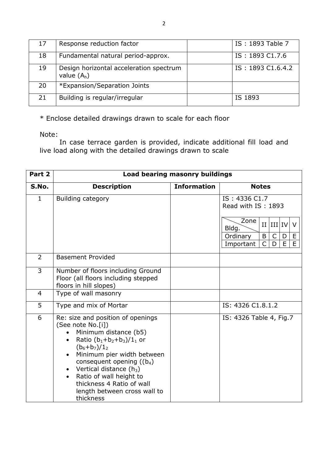| 17 | Response reduction factor                                | IS: 1893 Table 7  |
|----|----------------------------------------------------------|-------------------|
| 18 | Fundamental natural period-approx.                       | IS: 1893 C1.7.6   |
| 19 | Design horizontal acceleration spectrum<br>value $(A_h)$ | IS: 1893 C1.6.4.2 |
| 20 | *Expansion/Separation Joints                             |                   |
| 21 | Building is regular/irregular                            | IS 1893           |

\* Enclose detailed drawings drawn to scale for each floor

Note:

In case terrace garden is provided, indicate additional fill load and live load along with the detailed drawings drawn to scale

| Part 2         | <b>Load bearing masonry buildings</b>                                                                                                                                                                                                                                                                                                                                                  |                    |                                                                                                                                                                     |
|----------------|----------------------------------------------------------------------------------------------------------------------------------------------------------------------------------------------------------------------------------------------------------------------------------------------------------------------------------------------------------------------------------------|--------------------|---------------------------------------------------------------------------------------------------------------------------------------------------------------------|
| S.No.          | <b>Description</b>                                                                                                                                                                                                                                                                                                                                                                     | <b>Information</b> | <b>Notes</b>                                                                                                                                                        |
| $\mathbf{1}$   | Building category                                                                                                                                                                                                                                                                                                                                                                      |                    | IS: 4336 C1.7<br>Read with IS: 1893<br>Zone<br>$II$ $III$ $IV$<br>V<br>Bldg.<br>Ordinary<br>B<br>E<br>$\mathsf{C}$<br>D<br>E<br>$\mathsf{C}$<br>E<br>D<br>Important |
| $\overline{2}$ | <b>Basement Provided</b>                                                                                                                                                                                                                                                                                                                                                               |                    |                                                                                                                                                                     |
| 3              | Number of floors including Ground<br>Floor (all floors including stepped<br>floors in hill slopes)                                                                                                                                                                                                                                                                                     |                    |                                                                                                                                                                     |
| $\overline{4}$ | Type of wall masonry                                                                                                                                                                                                                                                                                                                                                                   |                    |                                                                                                                                                                     |
| 5              | Type and mix of Mortar                                                                                                                                                                                                                                                                                                                                                                 |                    | IS: 4326 C1.8.1.2                                                                                                                                                   |
| 6              | Re: size and position of openings<br>(See note No.[i])<br>Minimum distance (b5)<br>$\bullet$<br>Ratio $(b_1+b_2+b_3)/1_1$ or<br>$\bullet$<br>$(b_6+b_7)/1_2$<br>Minimum pier width between<br>$\bullet$<br>consequent opening $((b_4))$<br>Vertical distance $(h_3)$<br>$\bullet$<br>Ratio of wall height to<br>thickness 4 Ratio of wall<br>length between cross wall to<br>thickness |                    | IS: 4326 Table 4, Fig.7                                                                                                                                             |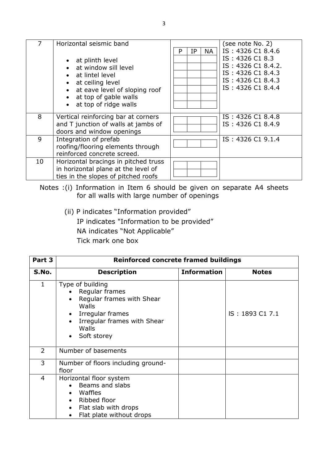|    | Horizontal seismic band<br>• at plinth level<br>• at window sill level<br>• at lintel level<br>• at ceiling level<br>• at eave level of sloping roof<br>• at top of gable walls<br>• at top of ridge walls | <b>NA</b><br>IP<br>P | (see note No. 2)<br>IS: 4326 C1 8.4.6<br>IS: 4326 C1 8.3<br>IS: 4326 C1 8.4.2.<br>IS: 4326 C1 8.4.3<br>IS: 4326 C1 8.4.3<br>IS: 4326 C1 8.4.4 |
|----|------------------------------------------------------------------------------------------------------------------------------------------------------------------------------------------------------------|----------------------|-----------------------------------------------------------------------------------------------------------------------------------------------|
| 8  | Vertical reinforcing bar at corners<br>and T junction of walls at jambs of<br>doors and window openings                                                                                                    |                      | IS: 4326 C1 8.4.8<br>IS: 4326 C1 8.4.9                                                                                                        |
| 9  | Integration of prefab<br>roofing/flooring elements through<br>reinforced concrete screed.                                                                                                                  |                      | IS: 4326 C1 9.1.4                                                                                                                             |
| 10 | Horizontal bracings in pitched truss<br>in horizontal plane at the level of<br>ties in the slopes of pitched roofs                                                                                         |                      |                                                                                                                                               |

Notes :(i) Information in Item 6 should be given on separate A4 sheets for all walls with large number of openings

(ii) P indicates "Information provided" IP indicates "Information to be provided" NA indicates "Not Applicable" Tick mark one box

| Part 3         | <b>Reinforced concrete framed buildings</b>                                                                                                                                                             |                    |                 |
|----------------|---------------------------------------------------------------------------------------------------------------------------------------------------------------------------------------------------------|--------------------|-----------------|
| S.No.          | <b>Description</b>                                                                                                                                                                                      | <b>Information</b> | <b>Notes</b>    |
| $\mathbf{1}$   | Type of building<br>Regular frames<br>Regular frames with Shear<br>$\bullet$<br>Walls<br>Irregular frames<br>$\bullet$<br>Irregular frames with Shear<br>$\bullet$<br>Walls<br>Soft storey<br>$\bullet$ |                    | IS: 1893 C1 7.1 |
| $\overline{2}$ | Number of basements                                                                                                                                                                                     |                    |                 |
| 3              | Number of floors including ground-<br>floor                                                                                                                                                             |                    |                 |
| 4              | Horizontal floor system<br>Beams and slabs<br>$\bullet$<br>Waffles<br>$\bullet$<br>Ribbed floor<br>$\bullet$<br>Flat slab with drops<br>$\bullet$<br>Flat plate without drops<br>$\bullet$              |                    |                 |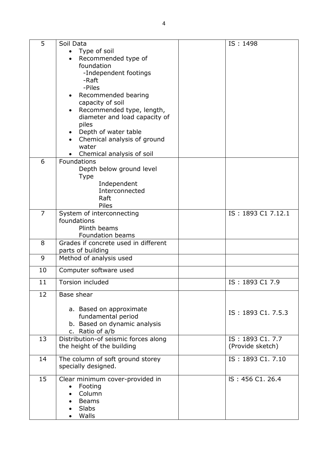| 5              | Soil Data                                | IS: 1498           |
|----------------|------------------------------------------|--------------------|
|                | • Type of soil                           |                    |
|                | Recommended type of                      |                    |
|                | foundation                               |                    |
|                | -Independent footings                    |                    |
|                | -Raft                                    |                    |
|                | -Piles                                   |                    |
|                | Recommended bearing<br>$\bullet$         |                    |
|                | capacity of soil                         |                    |
|                | Recommended type, length,<br>$\bullet$   |                    |
|                | diameter and load capacity of            |                    |
|                | piles                                    |                    |
|                | Depth of water table<br>$\bullet$        |                    |
|                | Chemical analysis of ground              |                    |
|                | water                                    |                    |
| 6              | Chemical analysis of soil<br>Foundations |                    |
|                | Depth below ground level                 |                    |
|                | Type                                     |                    |
|                | Independent                              |                    |
|                | Interconnected                           |                    |
|                | Raft                                     |                    |
|                | Piles                                    |                    |
| $\overline{7}$ | System of interconnecting                | IS: 1893 C1 7.12.1 |
|                | foundations                              |                    |
|                | Plinth beams                             |                    |
|                | Foundation beams                         |                    |
| 8              | Grades if concrete used in different     |                    |
|                | parts of building                        |                    |
| 9              | Method of analysis used                  |                    |
| 10             | Computer software used                   |                    |
| 11             | <b>Torsion included</b>                  | IS: 1893 C1 7.9    |
| 12             | Base shear                               |                    |
|                | a. Based on approximate                  |                    |
|                | fundamental period                       | IS: 1893 C1. 7.5.3 |
|                | b. Based on dynamic analysis             |                    |
|                | c. Ratio of a/b                          |                    |
| 13             | Distribution-of seismic forces along     | IS: 1893 C1. 7.7   |
|                | the height of the building               | (Provide sketch)   |
| 14             | The column of soft ground storey         | IS: 1893 C1. 7.10  |
|                | specially designed.                      |                    |
| 15             | Clear minimum cover-provided in          | IS: 456 C1, 26.4   |
|                | Footing<br>$\bullet$                     |                    |
|                | Column                                   |                    |
|                | <b>Beams</b>                             |                    |
|                | Slabs                                    |                    |
|                | Walls                                    |                    |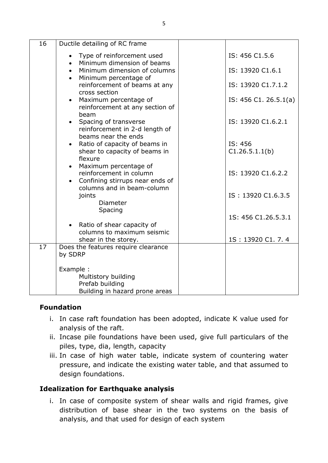| 16 | Ductile detailing of RC frame                                                               |                           |
|----|---------------------------------------------------------------------------------------------|---------------------------|
|    | Type of reinforcement used<br>Minimum dimension of beams                                    | IS: 456 C1.5.6            |
|    | Minimum dimension of columns<br>$\bullet$<br>Minimum percentage of                          | IS: 13920 C1.6.1          |
|    | reinforcement of beams at any<br>cross section                                              | IS: 13920 C1.7.1.2        |
|    | Maximum percentage of<br>reinforcement at any section of<br>beam                            | IS: 456 C1. 26.5.1(a)     |
|    | Spacing of transverse<br>$\bullet$<br>reinforcement in 2-d length of<br>beams near the ends | IS: 13920 C1.6.2.1        |
|    | Ratio of capacity of beams in<br>shear to capacity of beams in                              | IS: 456<br>C1.26.5.1.1(b) |
|    | flexure<br>Maximum percentage of<br>$\bullet$                                               |                           |
|    | reinforcement in column<br>Confining stirrups near ends of                                  | IS: 13920 C1.6.2.2        |
|    | columns and in beam-column<br>joints<br><b>Diameter</b><br>Spacing                          | IS: 13920 C1.6.3.5        |
|    |                                                                                             | 1S: 456 C1.26.5.3.1       |
|    | • Ratio of shear capacity of<br>columns to maximum seismic                                  |                           |
|    | shear in the storey.                                                                        | 1S: 13920 C1.7.4          |
| 17 | Does the features require clearance<br>by SDRP                                              |                           |
|    | Example :<br>Multistory building<br>Prefab building<br>Building in hazard prone areas       |                           |

## **Foundation**

- i. In case raft foundation has been adopted, indicate K value used for analysis of the raft.
- ii. Incase pile foundations have been used, give full particulars of the piles, type, dia, length, capacity
- iii. In case of high water table, indicate system of countering water pressure, and indicate the existing water table, and that assumed to design foundations.

## **Idealization for Earthquake analysis**

i. In case of composite system of shear walls and rigid frames, give distribution of base shear in the two systems on the basis of analysis, and that used for design of each system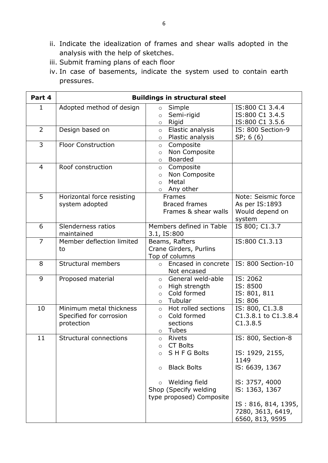- ii. Indicate the idealization of frames and shear walls adopted in the analysis with the help of sketches.
- iii. Submit framing plans of each floor
- iv. In case of basements, indicate the system used to contain earth pressures.

| $\mathbf 1$<br>$\overline{2}$<br>3 | Adopted method of design<br>Design based on<br><b>Floor Construction</b><br>Roof construction | Simple<br>$\circ$<br>Semi-rigid<br>$\circ$<br>Rigid<br>$\circ$<br>Elastic analysis<br>$\circ$<br>Plastic analysis<br>$\circ$<br>Composite<br>$\circ$<br>Non Composite<br>$\circ$<br><b>Boarded</b> | IS:800 C1 3.4.4<br>IS:800 C1 3.4.5<br>IS:800 C1 3.5.6<br>IS: 800 Section-9<br>SP; 6(6)                                                          |
|------------------------------------|-----------------------------------------------------------------------------------------------|----------------------------------------------------------------------------------------------------------------------------------------------------------------------------------------------------|-------------------------------------------------------------------------------------------------------------------------------------------------|
|                                    |                                                                                               |                                                                                                                                                                                                    |                                                                                                                                                 |
|                                    |                                                                                               |                                                                                                                                                                                                    |                                                                                                                                                 |
|                                    |                                                                                               | $\circ$                                                                                                                                                                                            |                                                                                                                                                 |
| $\overline{4}$                     |                                                                                               | Composite<br>$\circ$<br>Non Composite<br>$\circ$<br>Metal<br>$\circ$<br>Any other<br>$\circ$                                                                                                       |                                                                                                                                                 |
| 5                                  | Horizontal force resisting<br>system adopted                                                  | Frames<br><b>Braced frames</b><br>Frames & shear walls                                                                                                                                             | Note: Seismic force<br>As per IS: 1893<br>Would depend on<br>system                                                                             |
| 6                                  | Slenderness ratios<br>maintained                                                              | Members defined in Table<br>3.1, IS:800                                                                                                                                                            | IS 800; C1.3.7                                                                                                                                  |
| $\overline{7}$                     | Member deflection limited<br>to                                                               | Beams, Rafters<br>Crane Girders, Purlins<br>Top of columns                                                                                                                                         | IS:800 C1.3.13                                                                                                                                  |
| 8                                  | <b>Structural members</b>                                                                     | Encased in concrete<br>$\circ$<br>Not encased                                                                                                                                                      | IS: 800 Section-10                                                                                                                              |
| 9                                  | Proposed material                                                                             | General weld-able<br>$\circ$<br>High strength<br>$\circ$<br>Cold formed<br>$\circ$<br>o Tubular                                                                                                    | IS: 2062<br>IS: 8500<br>IS: 801, 811<br>IS: 806                                                                                                 |
| 10                                 | Minimum metal thickness<br>Specified for corrosion<br>protection                              | Hot rolled sections<br>$\circ$<br>Cold formed<br>$\circ$<br>sections<br>Tubes<br>$\circ$                                                                                                           | IS: 800, C1.3.8<br>C1.3.8.1 to C1.3.8.4<br>C1.3.8.5                                                                                             |
| 11                                 | <b>Structural connections</b>                                                                 | <b>Rivets</b><br>$\circ$<br><b>CT Bolts</b><br>$\circ$<br>SHFG Bolts<br>$\circ$<br><b>Black Bolts</b><br>$\circ$<br>Welding field<br>$\circ$<br>Shop (Specify welding<br>type proposed) Composite  | IS: 800, Section-8<br>IS: 1929, 2155,<br>1149<br>IS: 6639, 1367<br>IS: 3757, 4000<br>IS: 1363, 1367<br>IS: 816, 814, 1395,<br>7280, 3613, 6419, |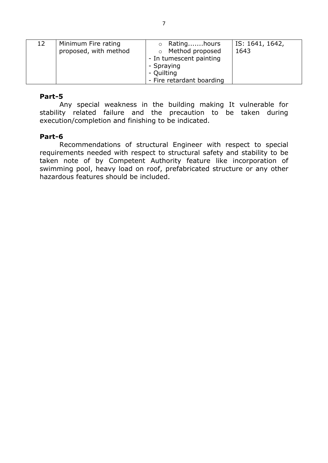| Minimum Fire rating<br>12<br>proposed, with method | ○ Ratinghours<br>o Method proposed<br>- In tumescent painting<br>- Spraying<br>- Quilting<br>- Fire retardant boarding | IS: 1641, 1642,<br>1643 |
|----------------------------------------------------|------------------------------------------------------------------------------------------------------------------------|-------------------------|
|----------------------------------------------------|------------------------------------------------------------------------------------------------------------------------|-------------------------|

#### **Part-5**

Any special weakness in the building making It vulnerable for stability related failure and the precaution to be taken during execution/completion and finishing to be indicated.

#### **Part-6**

Recommendations of structural Engineer with respect to special requirements needed with respect to structural safety and stability to be taken note of by Competent Authority feature like incorporation of swimming pool, heavy load on roof, prefabricated structure or any other hazardous features should be included.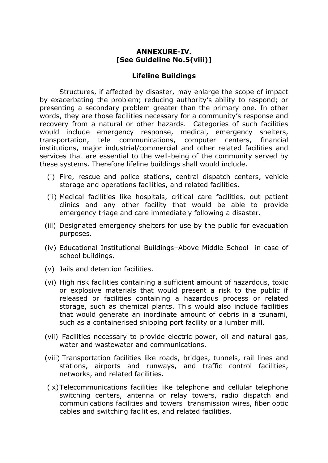#### **ANNEXURE-IV. [See Guideline No.5(viii)]**

#### **Lifeline Buildings**

Structures, if affected by disaster, may enlarge the scope of impact by exacerbating the problem; reducing authority's ability to respond; or presenting a secondary problem greater than the primary one. In other words, they are those facilities necessary for a community's response and recovery from a natural or other hazards. Categories of such facilities would include emergency response, medical, emergency shelters, transportation, tele communications, computer centers, financial institutions, major industrial/commercial and other related facilities and services that are essential to the well-being of the community served by these systems. Therefore lifeline buildings shall would include.

- (i) Fire, rescue and police stations, central dispatch centers, vehicle storage and operations facilities, and related facilities.
- (ii) Medical facilities like hospitals, critical care facilities, out patient clinics and any other facility that would be able to provide emergency triage and care immediately following a disaster.
- (iii) Designated emergency shelters for use by the public for evacuation purposes.
- (iv) Educational Institutional Buildings–Above Middle School in case of school buildings.
- (v) Jails and detention facilities.
- (vi) High risk facilities containing a sufficient amount of hazardous, toxic or explosive materials that would present a risk to the public if released or facilities containing a hazardous process or related storage, such as chemical plants. This would also include facilities that would generate an inordinate amount of debris in a tsunami, such as a containerised shipping port facility or a lumber mill.
- (vii) Facilities necessary to provide electric power, oil and natural gas, water and wastewater and communications.
- (viii) Transportation facilities like roads, bridges, tunnels, rail lines and stations, airports and runways, and traffic control facilities, networks, and related facilities.
- (ix)Telecommunications facilities like telephone and cellular telephone switching centers, antenna or relay towers, radio dispatch and communications facilities and towers transmission wires, fiber optic cables and switching facilities, and related facilities.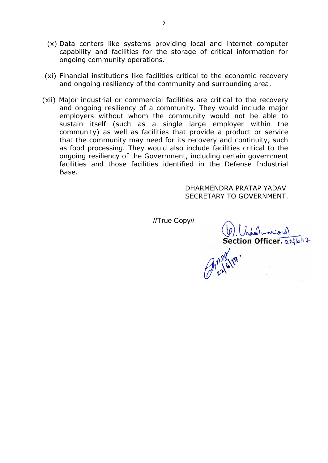- (x) Data centers like systems providing local and internet computer capability and facilities for the storage of critical information for ongoing community operations.
- (xi) Financial institutions like facilities critical to the economic recovery and ongoing resiliency of the community and surrounding area.
- (xii) Major industrial or commercial facilities are critical to the recovery and ongoing resiliency of a community. They would include major employers without whom the community would not be able to sustain itself (such as a single large employer within the community) as well as facilities that provide a product or service that the community may need for its recovery and continuity, such as food processing. They would also include facilities critical to the ongoing resiliency of the Government, including certain government facilities and those facilities identified in the Defense Industrial Base.

 DHARMENDRA PRATAP YADAV SECRETARY TO GOVERNMENT.

(b) Underweist)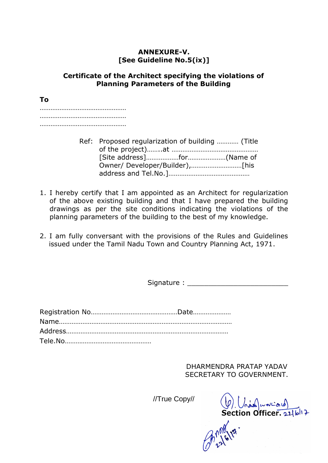## **ANNEXURE-V. [See Guideline No.5(ix)]**

#### **Certificate of the Architect specifying the violations of Planning Parameters of the Building**

**To** ………………………………………… ………………………………………… …………………………………………

- Ref: Proposed regularization of building ………… (Title of the project)……..at ………………………………………… [Site address]………………for…………………(Name of Owner/ Developer/Builder),……….………………[his address and Tel.No.]………………………………………
- 1. I hereby certify that I am appointed as an Architect for regularization of the above existing building and that I have prepared the building drawings as per the site conditions indicating the violations of the planning parameters of the building to the best of my knowledge.
- 2. I am fully conversant with the provisions of the Rules and Guidelines issued under the Tamil Nadu Town and Country Planning Act, 1971.

Signature : \_\_\_\_\_\_\_\_\_\_\_\_\_\_\_\_\_\_\_\_\_\_\_\_

 DHARMENDRA PRATAP YADAV SECRETARY TO GOVERNMENT.

 $(\varphi)$   $(\lambda)$   $(\lambda)$   $(\lambda)$   $(\lambda)$   $(\lambda)$   $(\lambda)$   $(\lambda)$